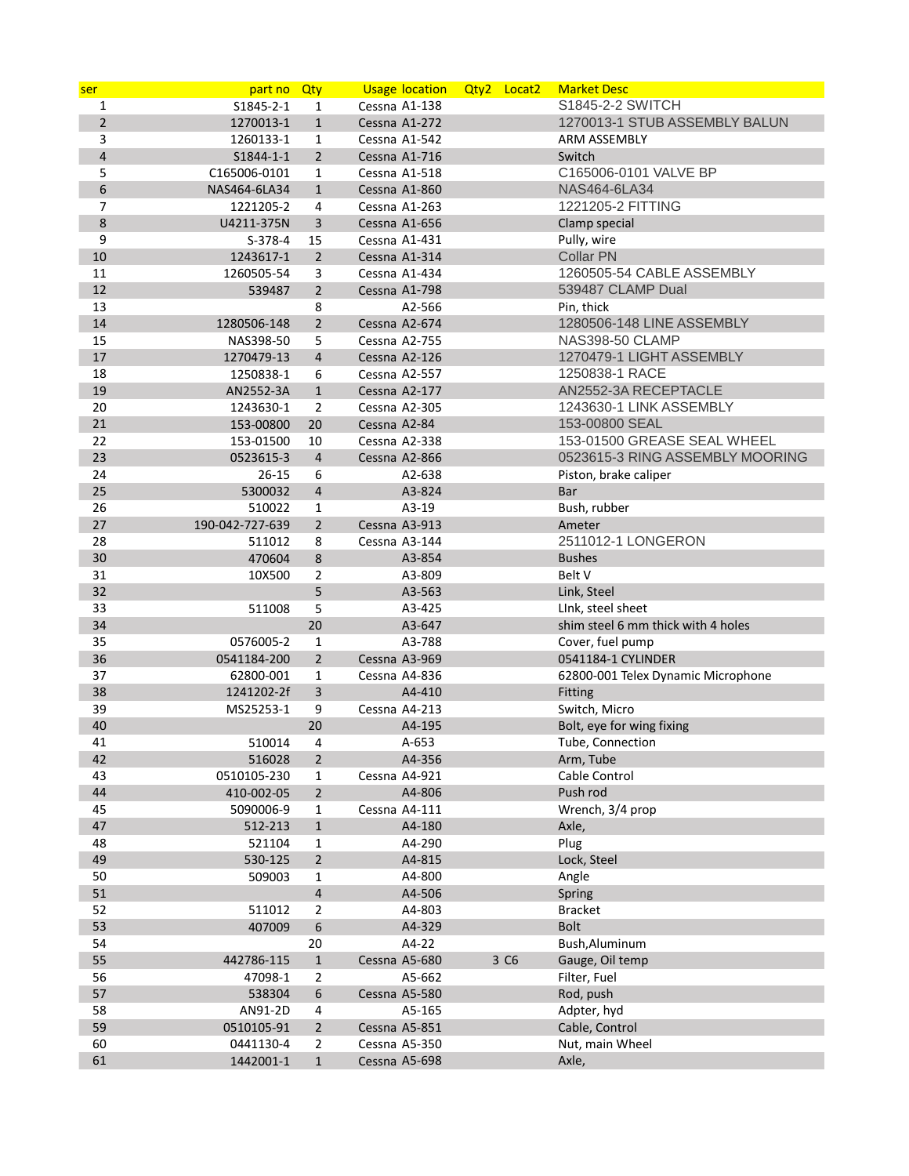| ser            | part no Qty             |                   | <b>Usage location</b>   | Qty2 Locat2 |      | <b>Market Desc</b>                     |
|----------------|-------------------------|-------------------|-------------------------|-------------|------|----------------------------------------|
| 1              | S1845-2-1               | 1                 | Cessna A1-138           |             |      | S1845-2-2 SWITCH                       |
| $\overline{2}$ | 1270013-1               | $\mathbf{1}$      | Cessna A1-272           |             |      | 1270013-1 STUB ASSEMBLY BALUN          |
| 3              | 1260133-1               | $\mathbf{1}$      | Cessna A1-542           |             |      | ARM ASSEMBLY                           |
| 4              | S1844-1-1               | $\overline{2}$    | Cessna A1-716           |             |      | Switch                                 |
| 5              | C165006-0101            | 1                 | Cessna A1-518           |             |      | C165006-0101 VALVE BP                  |
| 6              | NAS464-6LA34            | $\mathbf{1}$      | Cessna A1-860           |             |      | NAS464-6LA34                           |
| 7              | 1221205-2               | 4                 | Cessna A1-263           |             |      | 1221205-2 FITTING                      |
| 8              | U4211-375N              | 3                 | Cessna A1-656           |             |      | Clamp special                          |
| 9              | $S-378-4$               | 15                | Cessna A1-431           |             |      | Pully, wire                            |
| 10             | 1243617-1               | $\overline{2}$    | Cessna A1-314           |             |      | <b>Collar PN</b>                       |
| 11             | 1260505-54              | 3                 | Cessna A1-434           |             |      | 1260505-54 CABLE ASSEMBLY              |
| 12             | 539487                  | $\overline{2}$    | Cessna A1-798           |             |      | 539487 CLAMP Dual                      |
| 13             |                         | 8                 | A2-566                  |             |      | Pin, thick                             |
| 14             | 1280506-148             | $\overline{2}$    | Cessna A2-674           |             |      | 1280506-148 LINE ASSEMBLY              |
| 15             | NAS398-50               | 5                 | Cessna A2-755           |             |      | <b>NAS398-50 CLAMP</b>                 |
| 17             | 1270479-13              | 4                 | Cessna A2-126           |             |      | 1270479-1 LIGHT ASSEMBLY               |
| 18             | 1250838-1               | 6                 | Cessna A2-557           |             |      | 1250838-1 RACE                         |
| 19             | AN2552-3A               | $\mathbf{1}$      | Cessna A2-177           |             |      | AN2552-3A RECEPTACLE                   |
| 20             | 1243630-1               | $\overline{2}$    | Cessna A2-305           |             |      | 1243630-1 LINK ASSEMBLY                |
| 21             | 153-00800               | 20                | Cessna A2-84            |             |      | 153-00800 SEAL                         |
| 22             | 153-01500               | 10                | Cessna A2-338           |             |      | 153-01500 GREASE SEAL WHEEL            |
| 23             | 0523615-3               | $\overline{4}$    | Cessna A2-866           |             |      | 0523615-3 RING ASSEMBLY MOORING        |
| 24             | $26 - 15$               | 6                 | A2-638                  |             |      | Piston, brake caliper                  |
| 25             | 5300032                 | $\overline{4}$    | A3-824                  |             |      | Bar                                    |
| 26             | 510022                  | 1                 | A3-19                   |             |      | Bush, rubber                           |
| 27             | 190-042-727-639         | $\overline{2}$    | Cessna A3-913           |             |      | Ameter                                 |
| 28             | 511012                  | 8                 | Cessna A3-144           |             |      | 2511012-1 LONGERON                     |
| 30             | 470604                  | 8                 | A3-854                  |             |      | <b>Bushes</b>                          |
| 31             | 10X500                  | 2                 | A3-809                  |             |      | Belt V                                 |
| 32             |                         | 5                 | A3-563                  |             |      | Link, Steel                            |
| 33             | 511008                  | 5                 | A3-425                  |             |      | Link, steel sheet                      |
| 34             |                         | 20                | A3-647                  |             |      | shim steel 6 mm thick with 4 holes     |
| 35<br>36       | 0576005-2               | 1                 | A3-788<br>Cessna A3-969 |             |      | Cover, fuel pump<br>0541184-1 CYLINDER |
| 37             | 0541184-200             | $\overline{2}$    | Cessna A4-836           |             |      | 62800-001 Telex Dynamic Microphone     |
| 38             | 62800-001<br>1241202-2f | $\mathbf{1}$<br>3 | A4-410                  |             |      | Fitting                                |
| 39             | MS25253-1               | 9                 | Cessna A4-213           |             |      | Switch, Micro                          |
| 40             |                         | 20                | A4-195                  |             |      | Bolt, eye for wing fixing              |
| 41             | 510014                  | 4                 | A-653                   |             |      | Tube, Connection                       |
| 42             | 516028                  | $\overline{2}$    | A4-356                  |             |      | Arm, Tube                              |
| 43             | 0510105-230             | 1                 | Cessna A4-921           |             |      | Cable Control                          |
| 44             | 410-002-05              | $\overline{2}$    | A4-806                  |             |      | Push rod                               |
| 45             | 5090006-9               | $\mathbf{1}$      | Cessna A4-111           |             |      | Wrench, 3/4 prop                       |
| 47             | 512-213                 | $\mathbf 1$       | A4-180                  |             |      | Axle,                                  |
| 48             | 521104                  | 1                 | A4-290                  |             |      | Plug                                   |
| 49             | 530-125                 | $\overline{2}$    | A4-815                  |             |      | Lock, Steel                            |
| 50             | 509003                  | 1                 | A4-800                  |             |      | Angle                                  |
| 51             |                         | $\overline{4}$    | A4-506                  |             |      | Spring                                 |
| 52             | 511012                  | 2                 | A4-803                  |             |      | <b>Bracket</b>                         |
| 53             | 407009                  | 6                 | A4-329                  |             |      | <b>Bolt</b>                            |
| 54             |                         | 20                | A4-22                   |             |      | Bush, Aluminum                         |
| 55             | 442786-115              | $\mathbf 1$       | Cessna A5-680           |             | 3 C6 | Gauge, Oil temp                        |
| 56             | 47098-1                 | 2                 | A5-662                  |             |      | Filter, Fuel                           |
| 57             | 538304                  | 6                 | Cessna A5-580           |             |      | Rod, push                              |
| 58             | AN91-2D                 | 4                 | A5-165                  |             |      | Adpter, hyd                            |
| 59             | 0510105-91              | $\overline{2}$    | Cessna A5-851           |             |      | Cable, Control                         |
| 60             | 0441130-4               | $\overline{2}$    | Cessna A5-350           |             |      | Nut, main Wheel                        |
| 61             | 1442001-1               | $\mathbf{1}$      | Cessna A5-698           |             |      | Axle,                                  |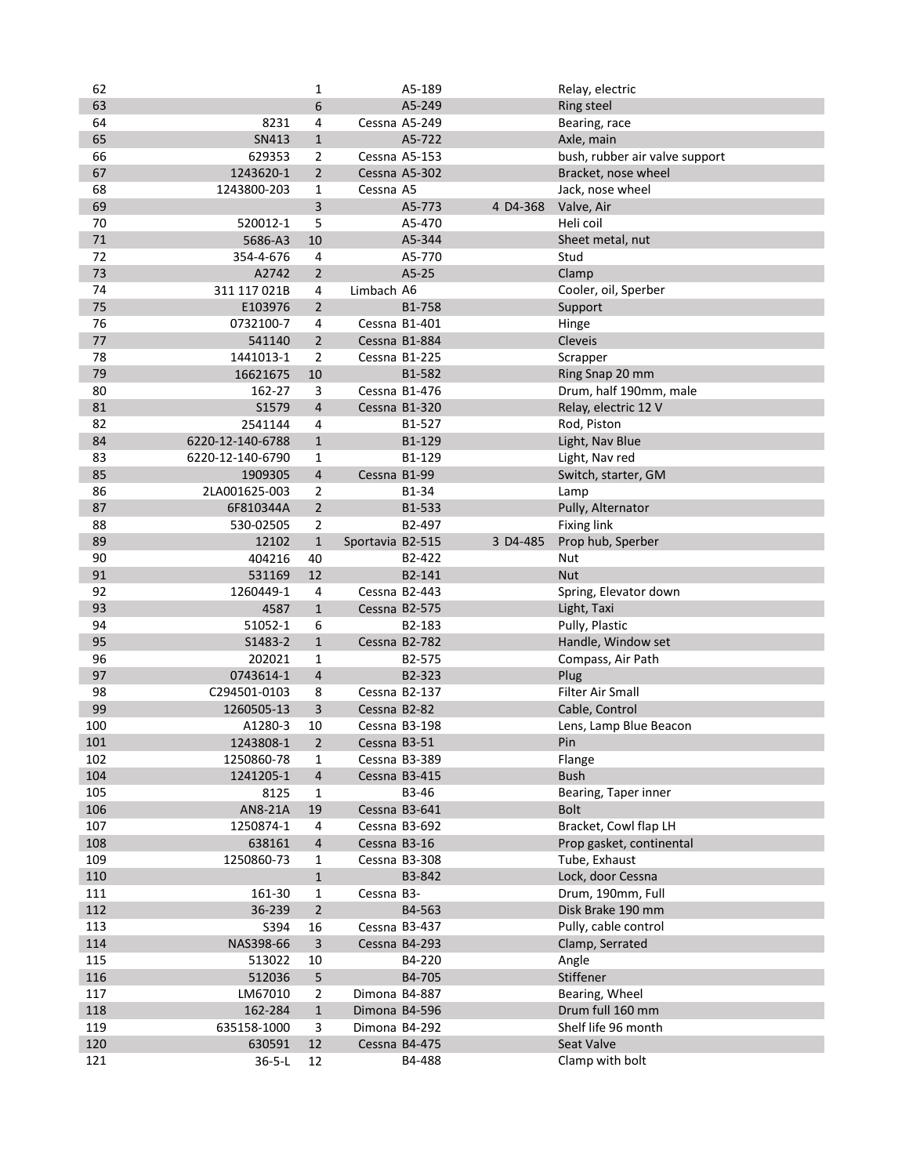| 62     |                  | 1              |                  | A5-189                  |          | Relay, electric                |
|--------|------------------|----------------|------------------|-------------------------|----------|--------------------------------|
| 63     |                  | 6              |                  | A5-249                  |          | <b>Ring steel</b>              |
| 64     | 8231             | 4              |                  | Cessna A5-249           |          | Bearing, race                  |
| 65     | SN413            | $\mathbf{1}$   |                  | A5-722                  |          | Axle, main                     |
| 66     | 629353           | 2              |                  | Cessna A5-153           |          | bush, rubber air valve support |
| 67     | 1243620-1        | $\overline{2}$ |                  | Cessna A5-302           |          | Bracket, nose wheel            |
| 68     | 1243800-203      | $\mathbf{1}$   | Cessna A5        |                         |          | Jack, nose wheel               |
| 69     |                  | 3              |                  | A5-773                  | 4 D4-368 | Valve, Air                     |
| 70     | 520012-1         | 5              |                  | A5-470                  |          | Heli coil                      |
| $71\,$ | 5686-A3          | 10             |                  | A5-344                  |          | Sheet metal, nut               |
| 72     | 354-4-676        | 4              |                  | A5-770                  |          | Stud                           |
| 73     | A2742            | $\overline{2}$ |                  | A5-25                   |          | Clamp                          |
| 74     | 311 117 021B     | 4              | Limbach A6       |                         |          | Cooler, oil, Sperber           |
| 75     | E103976          | $\overline{2}$ |                  | B1-758                  |          | Support                        |
| 76     | 0732100-7        | 4              |                  | Cessna B1-401           |          | Hinge                          |
| 77     | 541140           | $\overline{2}$ |                  | Cessna B1-884           |          | Cleveis                        |
| 78     | 1441013-1        |                |                  |                         |          |                                |
| 79     |                  | 2<br>10        |                  | Cessna B1-225<br>B1-582 |          | Scrapper<br>Ring Snap 20 mm    |
|        | 16621675         |                |                  |                         |          |                                |
| 80     | 162-27           | 3              |                  | Cessna B1-476           |          | Drum, half 190mm, male         |
| 81     | S1579            | $\overline{4}$ |                  | Cessna B1-320           |          | Relay, electric 12 V           |
| 82     | 2541144          | 4              |                  | B1-527                  |          | Rod, Piston                    |
| 84     | 6220-12-140-6788 | $\mathbf 1$    |                  | B1-129                  |          | Light, Nav Blue                |
| 83     | 6220-12-140-6790 | $\mathbf{1}$   |                  | B1-129                  |          | Light, Nav red                 |
| 85     | 1909305          | $\overline{4}$ | Cessna B1-99     |                         |          | Switch, starter, GM            |
| 86     | 2LA001625-003    | 2              |                  | B1-34                   |          | Lamp                           |
| 87     | 6F810344A        | $\overline{2}$ |                  | B1-533                  |          | Pully, Alternator              |
| 88     | 530-02505        | $\overline{2}$ |                  | B2-497                  |          | <b>Fixing link</b>             |
| 89     | 12102            | $\mathbf 1$    | Sportavia B2-515 |                         | 3 D4-485 | Prop hub, Sperber              |
| 90     | 404216           | 40             |                  | B2-422                  |          | Nut                            |
| 91     | 531169           | 12             |                  | B2-141                  |          | <b>Nut</b>                     |
| 92     | 1260449-1        | 4              |                  | Cessna B2-443           |          | Spring, Elevator down          |
| 93     | 4587             | $\mathbf{1}$   |                  | Cessna B2-575           |          | Light, Taxi                    |
| 94     | 51052-1          | 6              |                  | B2-183                  |          | Pully, Plastic                 |
| 95     | S1483-2          | $\mathbf{1}$   |                  | Cessna B2-782           |          | Handle, Window set             |
| 96     | 202021           | $\mathbf{1}$   |                  | B2-575                  |          | Compass, Air Path              |
| 97     | 0743614-1        | $\overline{4}$ |                  | B2-323                  |          | Plug                           |
| 98     | C294501-0103     | 8              |                  | Cessna B2-137           |          | Filter Air Small               |
| 99     | 1260505-13       | 3              | Cessna B2-82     |                         |          | Cable, Control                 |
| 100    | A1280-3          | 10             |                  | Cessna B3-198           |          | Lens, Lamp Blue Beacon         |
| 101    | 1243808-1        | $\overline{2}$ | Cessna B3-51     |                         |          | Pin                            |
| 102    | 1250860-78       | 1              |                  | Cessna B3-389           |          | Flange                         |
| 104    | 1241205-1        | 4              |                  | Cessna B3-415           |          | <b>Bush</b>                    |
| 105    | 8125             | $\mathbf{1}$   |                  | B3-46                   |          | Bearing, Taper inner           |
| 106    | AN8-21A          | 19             |                  | Cessna B3-641           |          | <b>Bolt</b>                    |
| 107    | 1250874-1        | 4              |                  | Cessna B3-692           |          | Bracket, Cowl flap LH          |
| 108    | 638161           | $\overline{4}$ | Cessna B3-16     |                         |          | Prop gasket, continental       |
| 109    | 1250860-73       | 1              |                  | Cessna B3-308           |          | Tube, Exhaust                  |
| 110    |                  | $\mathbf 1$    |                  | B3-842                  |          | Lock, door Cessna              |
| 111    | 161-30           | $\mathbf{1}$   | Cessna B3-       |                         |          | Drum, 190mm, Full              |
| 112    | 36-239           | $\overline{2}$ |                  | B4-563                  |          | Disk Brake 190 mm              |
| 113    | S394             | 16             |                  | Cessna B3-437           |          | Pully, cable control           |
| 114    | NAS398-66        | 3              |                  | Cessna B4-293           |          | Clamp, Serrated                |
| 115    | 513022           | 10             |                  | B4-220                  |          | Angle                          |
| 116    | 512036           | 5              |                  | B4-705                  |          | Stiffener                      |
| 117    | LM67010          | $\overline{2}$ | Dimona B4-887    |                         |          | Bearing, Wheel                 |
| 118    | 162-284          | $\mathbf{1}$   | Dimona B4-596    |                         |          | Drum full 160 mm               |
| 119    | 635158-1000      | 3              | Dimona B4-292    |                         |          | Shelf life 96 month            |
| 120    | 630591           | 12             |                  | Cessna B4-475           |          | Seat Valve                     |
| 121    | $36 - 5 - L$     | 12             |                  | B4-488                  |          | Clamp with bolt                |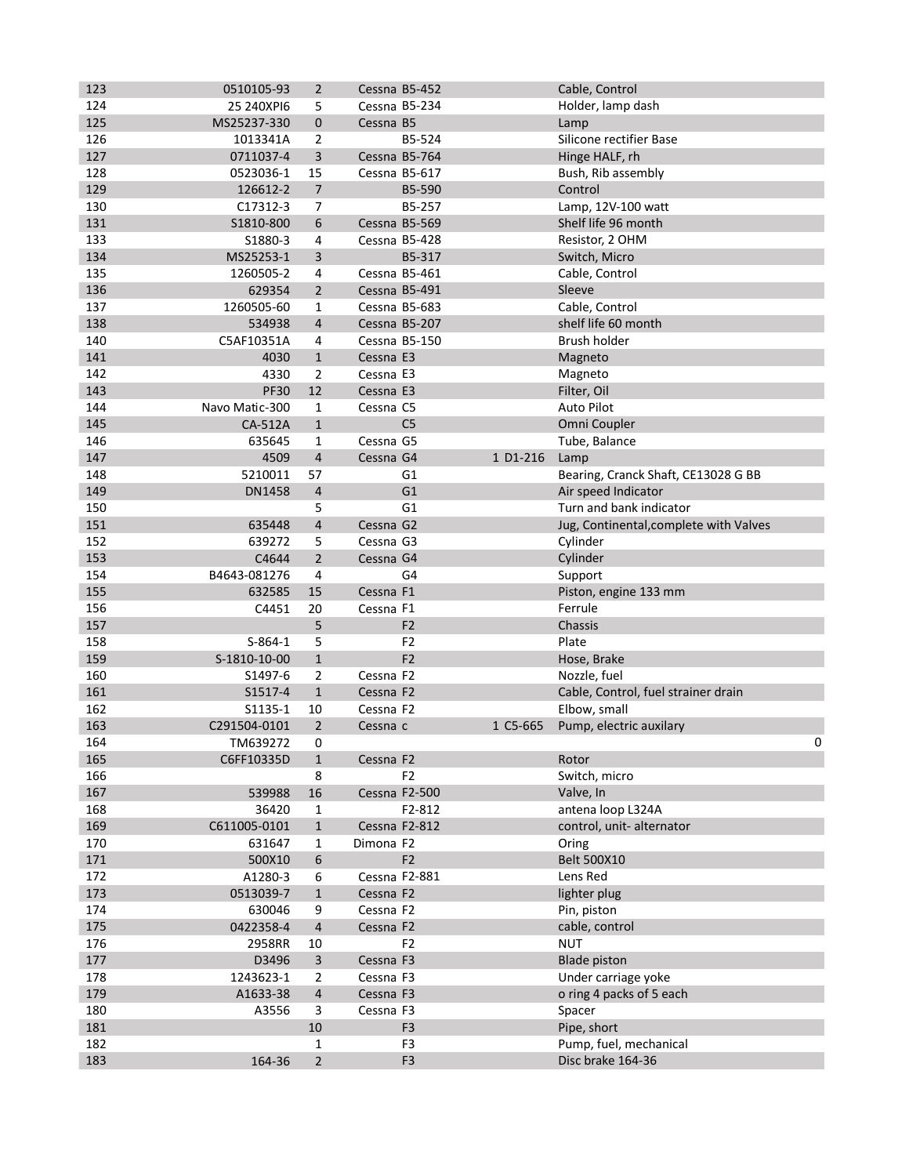| 123        | 0510105-93     | $\overline{2}$          |               | Cessna B5-452  |          | Cable, Control                         |   |
|------------|----------------|-------------------------|---------------|----------------|----------|----------------------------------------|---|
| 124        | 25 240XPI6     | 5                       |               | Cessna B5-234  |          | Holder, lamp dash                      |   |
| 125        | MS25237-330    | 0                       | Cessna B5     |                |          | Lamp                                   |   |
| 126        | 1013341A       | 2                       |               | B5-524         |          | Silicone rectifier Base                |   |
| 127        | 0711037-4      | 3                       |               | Cessna B5-764  |          | Hinge HALF, rh                         |   |
| 128        | 0523036-1      | 15                      |               | Cessna B5-617  |          | Bush, Rib assembly                     |   |
| 129        | 126612-2       | $\overline{7}$          |               | B5-590         |          | Control                                |   |
| 130        | C17312-3       | 7                       |               | B5-257         |          | Lamp, 12V-100 watt                     |   |
| 131        | S1810-800      | 6                       |               | Cessna B5-569  |          | Shelf life 96 month                    |   |
| 133        | S1880-3        | 4                       |               | Cessna B5-428  |          | Resistor, 2 OHM                        |   |
| 134        | MS25253-1      | 3                       |               | B5-317         |          | Switch, Micro                          |   |
| 135        | 1260505-2      | 4                       |               | Cessna B5-461  |          | Cable, Control                         |   |
| 136        | 629354         | $\overline{2}$          |               | Cessna B5-491  |          | Sleeve                                 |   |
| 137        | 1260505-60     | 1                       |               | Cessna B5-683  |          | Cable, Control                         |   |
| 138        | 534938         | $\overline{4}$          |               | Cessna B5-207  |          | shelf life 60 month                    |   |
| 140        | C5AF10351A     | 4                       |               | Cessna B5-150  |          | Brush holder                           |   |
| 141        | 4030           | $\mathbf{1}$            | Cessna E3     |                |          | Magneto                                |   |
| 142        | 4330           | $\overline{2}$          | Cessna E3     |                |          | Magneto                                |   |
| 143        | <b>PF30</b>    | 12                      | Cessna E3     |                |          | Filter, Oil                            |   |
|            |                |                         |               |                |          | Auto Pilot                             |   |
| 144<br>145 | Navo Matic-300 | $\mathbf 1$             | Cessna C5     | C <sub>5</sub> |          |                                        |   |
|            | CA-512A        | $\mathbf{1}$            |               |                |          | Omni Coupler                           |   |
| 146        | 635645         | $\mathbf{1}$            | Cessna G5     |                |          | Tube, Balance                          |   |
| 147        | 4509           | $\overline{4}$          | Cessna G4     |                | 1 D1-216 | Lamp                                   |   |
| 148        | 5210011        | 57                      |               | G <sub>1</sub> |          | Bearing, Cranck Shaft, CE13028 G BB    |   |
| 149        | <b>DN1458</b>  | 4                       |               | G <sub>1</sub> |          | Air speed Indicator                    |   |
| 150        |                | 5                       |               | G <sub>1</sub> |          | Turn and bank indicator                |   |
| 151        | 635448         | $\overline{\mathbf{4}}$ | Cessna G2     |                |          | Jug, Continental, complete with Valves |   |
| 152        | 639272         | 5                       | Cessna G3     |                |          | Cylinder                               |   |
| 153        | C4644          | $\overline{2}$          | Cessna G4     |                |          | Cylinder                               |   |
| 154        | B4643-081276   | 4                       |               | G <sub>4</sub> |          | Support                                |   |
| 155        | 632585         | 15                      | Cessna F1     |                |          | Piston, engine 133 mm                  |   |
| 156        | C4451          | 20                      | Cessna F1     |                |          | Ferrule                                |   |
| 157        |                | 5                       |               | F <sub>2</sub> |          | Chassis                                |   |
| 158        | $S-864-1$      | 5                       |               | F <sub>2</sub> |          | Plate                                  |   |
| 159        | S-1810-10-00   | $\mathbf{1}$            |               | F <sub>2</sub> |          | Hose, Brake                            |   |
| 160        | S1497-6        | 2                       | Cessna F2     |                |          | Nozzle, fuel                           |   |
| 161        | S1517-4        | $\mathbf{1}$            | Cessna F2     |                |          | Cable, Control, fuel strainer drain    |   |
| 162        | S1135-1        | 10                      | Cessna F2     |                |          | Elbow, small                           |   |
| 163        | C291504-0101   | $\overline{2}$          | Cessna c      |                | 1 C5-665 | Pump, electric auxilary                |   |
| 164        | TM639272       | 0                       |               |                |          |                                        | 0 |
| 165        | C6FF10335D     | $\mathbf{1}$            | Cessna F2     |                |          | Rotor                                  |   |
| 166        |                | 8                       |               | F <sub>2</sub> |          | Switch, micro                          |   |
| 167        | 539988         | 16                      |               | Cessna F2-500  |          | Valve, In                              |   |
| 168        | 36420          | $\mathbf{1}$            |               | F2-812         |          | antena loop L324A                      |   |
| 169        | C611005-0101   | $\mathbf 1$             |               | Cessna F2-812  |          | control, unit-alternator               |   |
| 170        | 631647         | 1                       | Dimona F2     |                |          | Oring                                  |   |
| 171        | 500X10         | 6                       |               | F2             |          | Belt 500X10                            |   |
| 172        | A1280-3        | 6                       | Cessna F2-881 |                |          | Lens Red                               |   |
| 173        | 0513039-7      | $\mathbf 1$             | Cessna F2     |                |          | lighter plug                           |   |
| 174        | 630046         | 9                       | Cessna F2     |                |          | Pin, piston                            |   |
| 175        | 0422358-4      | $\overline{\mathbf{4}}$ | Cessna F2     |                |          | cable, control                         |   |
| 176        | 2958RR         | 10                      |               | F <sub>2</sub> |          | <b>NUT</b>                             |   |
| 177        | D3496          | 3                       | Cessna F3     |                |          | <b>Blade piston</b>                    |   |
| 178        | 1243623-1      | $\overline{2}$          | Cessna F3     |                |          | Under carriage yoke                    |   |
| 179        | A1633-38       | $\sqrt{4}$              | Cessna F3     |                |          | o ring 4 packs of 5 each               |   |
| 180        | A3556          | 3                       | Cessna F3     |                |          | Spacer                                 |   |
| 181        |                | $10\,$                  |               | F <sub>3</sub> |          | Pipe, short                            |   |
| 182        |                | 1                       |               | F <sub>3</sub> |          | Pump, fuel, mechanical                 |   |
| 183        | 164-36         | $\overline{2}$          |               | F <sub>3</sub> |          | Disc brake 164-36                      |   |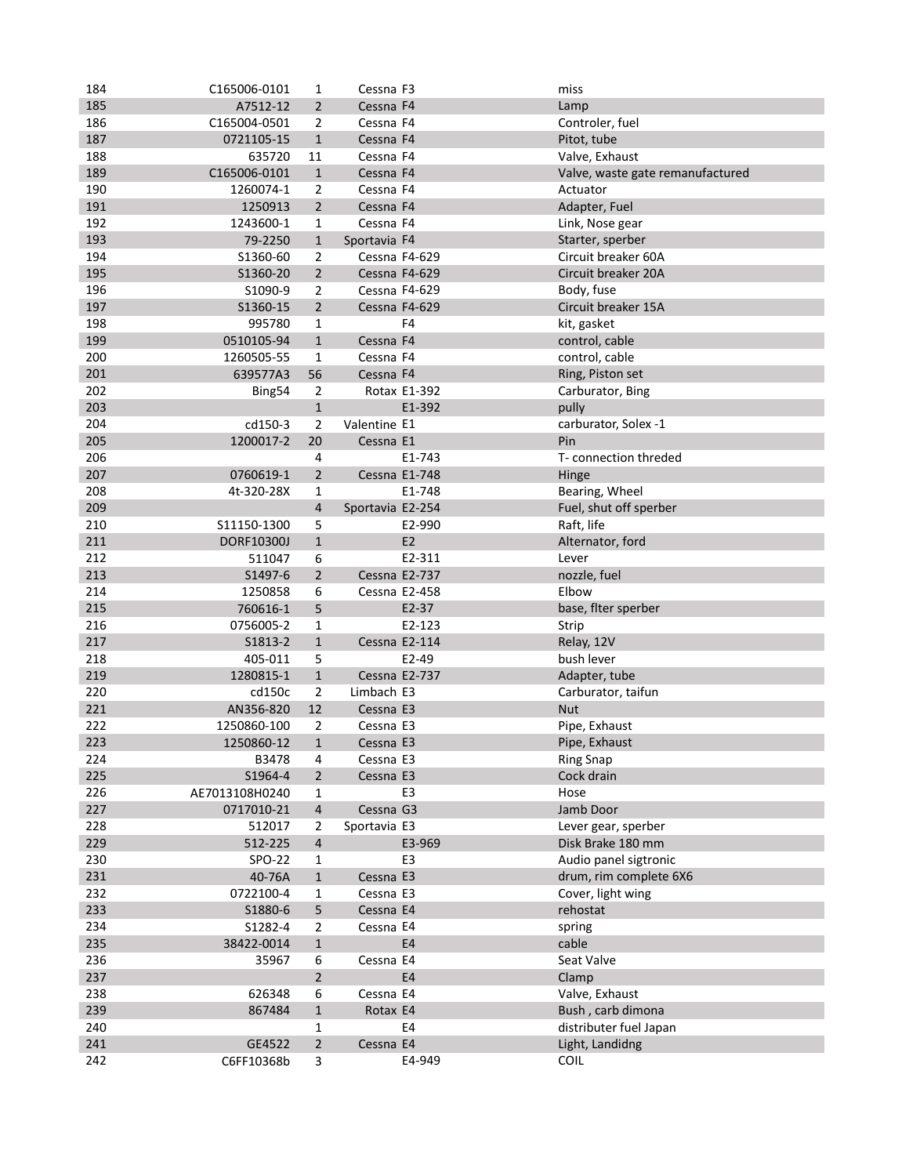| 184        | C165006-0101        | 1                       | Cessna F3               |                        | miss                             |
|------------|---------------------|-------------------------|-------------------------|------------------------|----------------------------------|
| 185        | A7512-12            | $\overline{2}$          | Cessna F4               |                        | Lamp                             |
| 186        | C165004-0501        | 2                       | Cessna F4               |                        | Controler, fuel                  |
| 187        | 0721105-15          | $\mathbf{1}$            | Cessna F4               |                        | Pitot, tube                      |
| 188        | 635720              | 11                      | Cessna F4               |                        | Valve, Exhaust                   |
| 189        | C165006-0101        | $\mathbf{1}$            | Cessna F4               |                        | Valve, waste gate remanufactured |
| 190        | 1260074-1           | 2                       | Cessna F4               |                        | Actuator                         |
| 191        | 1250913             | $\overline{2}$          | Cessna F4               |                        | Adapter, Fuel                    |
| 192        | 1243600-1           | 1                       | Cessna F4               |                        | Link, Nose gear                  |
| 193        | 79-2250             | $\mathbf{1}$            | Sportavia F4            |                        | Starter, sperber                 |
| 194        | S1360-60            | 2                       | Cessna F4-629           |                        | Circuit breaker 60A              |
| 195        | S1360-20            | $\overline{2}$          | Cessna F4-629           |                        | Circuit breaker 20A              |
| 196        | S1090-9             | 2                       | Cessna F4-629           |                        | Body, fuse                       |
| 197        | S1360-15            | $\overline{2}$          | Cessna F4-629           |                        | Circuit breaker 15A              |
| 198        | 995780              | 1                       |                         | F <sub>4</sub>         | kit, gasket                      |
| 199        | 0510105-94          | $\mathbf{1}$            | Cessna F4               |                        | control, cable                   |
| 200        | 1260505-55          | 1                       | Cessna F4               |                        | control, cable                   |
| 201        | 639577A3            | 56                      | Cessna F4               |                        | Ring, Piston set                 |
| 202        |                     | 2                       |                         | Rotax E1-392           |                                  |
| 203        | Bing54              | $\mathbf{1}$            |                         | E1-392                 | Carburator, Bing                 |
| 204        |                     | $\overline{2}$          | Valentine E1            |                        | pully                            |
|            | cd150-3             |                         |                         |                        | carburator, Solex -1<br>Pin      |
| 205        | 1200017-2           | 20                      | Cessna E1               |                        |                                  |
| 206        |                     | 4                       |                         | E1-743                 | T- connection threded            |
| 207        | 0760619-1           | $\overline{2}$          |                         | Cessna E1-748          | Hinge                            |
| 208        | 4t-320-28X          | 1                       |                         | E1-748                 | Bearing, Wheel                   |
| 209        |                     | 4                       | Sportavia E2-254        |                        | Fuel, shut off sperber           |
| 210        | S11150-1300         | 5                       |                         | E2-990                 | Raft, life                       |
| 211        | DORF10300J          | $\mathbf{1}$            |                         | E <sub>2</sub>         | Alternator, ford                 |
| 212        | 511047              | 6                       |                         | E2-311                 | Lever                            |
| 213        | S1497-6             | $\overline{2}$          |                         | Cessna E2-737          | nozzle, fuel                     |
| 214        | 1250858             | 6                       |                         | Cessna E2-458          | Elbow                            |
| 215        | 760616-1            | 5                       |                         | E2-37                  | base, flter sperber              |
| 216        | 0756005-2           | 1                       |                         | E2-123                 | Strip                            |
| 217<br>218 | S1813-2             | $\mathbf{1}$            |                         | Cessna E2-114<br>E2-49 | Relay, 12V                       |
| 219        | 405-011             | 5<br>$1\,$              |                         | Cessna E2-737          | bush lever<br>Adapter, tube      |
| 220        | 1280815-1           | $\overline{2}$          |                         |                        |                                  |
| 221        | cd150c<br>AN356-820 | 12                      | Limbach E3<br>Cessna E3 |                        | Carburator, taifun<br><b>Nut</b> |
| 222        | 1250860-100         | 2                       | Cessna E3               |                        | Pipe, Exhaust                    |
| 223        | 1250860-12          | $\mathbf{1}$            | Cessna E3               |                        | Pipe, Exhaust                    |
| 224        | B3478               | 4                       | Cessna E3               |                        | <b>Ring Snap</b>                 |
| 225        | S1964-4             | $\overline{2}$          | Cessna E3               |                        | Cock drain                       |
| 226        | AE7013108H0240      | $\mathbf{1}$            |                         | E3                     | Hose                             |
| 227        | 0717010-21          | $\overline{4}$          | Cessna G3               |                        | Jamb Door                        |
| 228        | 512017              | $\overline{2}$          | Sportavia E3            |                        | Lever gear, sperber              |
| 229        | 512-225             | $\overline{\mathbf{4}}$ |                         | E3-969                 | Disk Brake 180 mm                |
| 230        | SPO-22              | 1                       |                         | E <sub>3</sub>         | Audio panel sigtronic            |
| 231        | 40-76A              | $\mathbf 1$             | Cessna E3               |                        | drum, rim complete 6X6           |
| 232        | 0722100-4           | 1                       | Cessna E3               |                        | Cover, light wing                |
| 233        | S1880-6             | 5                       | Cessna E4               |                        | rehostat                         |
| 234        | S1282-4             | 2                       | Cessna E4               |                        | spring                           |
| 235        | 38422-0014          | $\mathbf 1$             |                         | E4                     | cable                            |
| 236        | 35967               | 6                       | Cessna E4               |                        | Seat Valve                       |
| 237        |                     | $\overline{2}$          |                         | E4                     | Clamp                            |
| 238        | 626348              | 6                       | Cessna E4               |                        | Valve, Exhaust                   |
| 239        | 867484              | $\mathbf 1$             | Rotax E4                |                        | Bush, carb dimona                |
| 240        |                     | 1                       |                         | E4                     | distributer fuel Japan           |
| 241        | GE4522              | $\overline{2}$          | Cessna E4               |                        | Light, Landidng                  |
| 242        | C6FF10368b          | 3                       |                         | E4-949                 | COIL                             |
|            |                     |                         |                         |                        |                                  |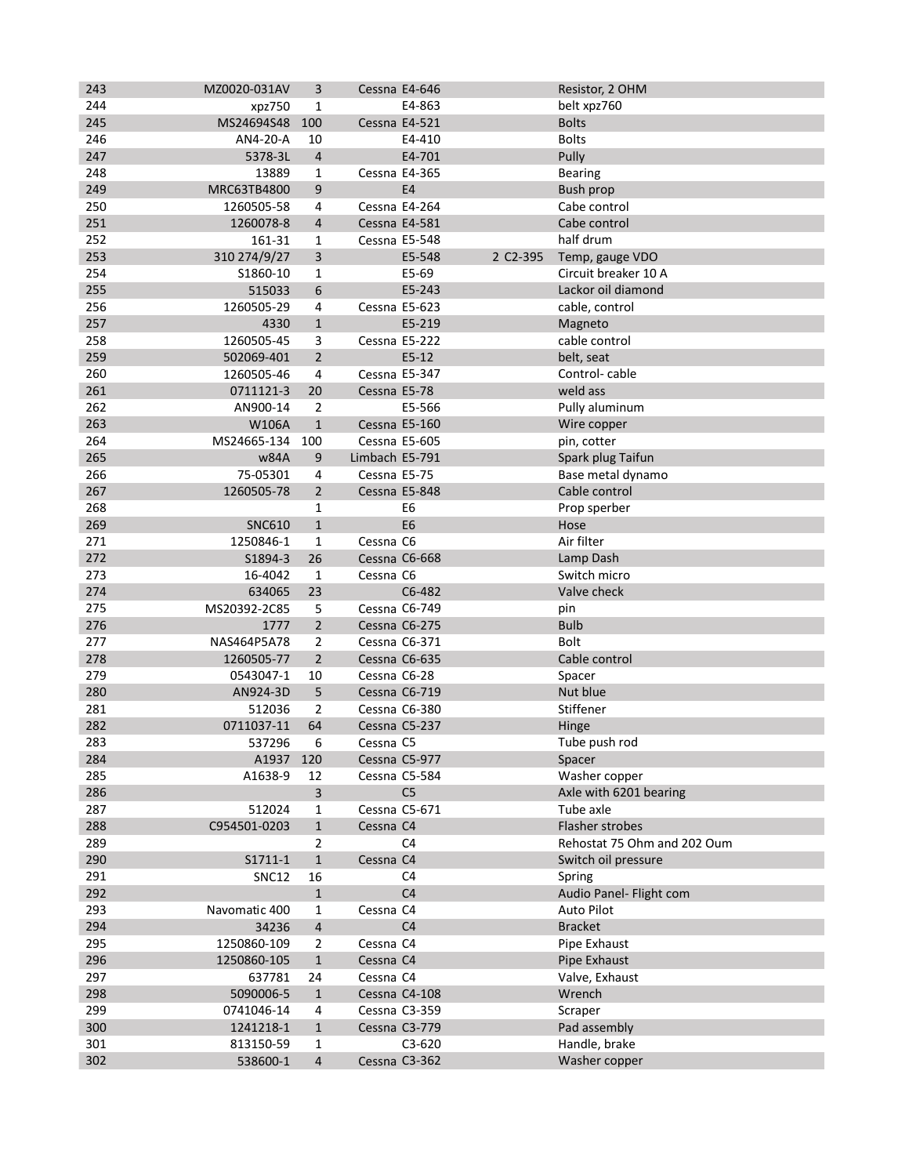| 243 | MZ0020-031AV   | 3              |                | Cessna E4-646  |          | Resistor, 2 OHM             |
|-----|----------------|----------------|----------------|----------------|----------|-----------------------------|
| 244 | xpz750         | 1              |                | E4-863         |          | belt xpz760                 |
| 245 | MS24694S48 100 |                | Cessna E4-521  |                |          | <b>Bolts</b>                |
| 246 | AN4-20-A       | 10             |                | E4-410         |          | <b>Bolts</b>                |
| 247 | 5378-3L        | $\overline{4}$ |                | E4-701         |          | Pully                       |
| 248 | 13889          | $\mathbf 1$    | Cessna E4-365  |                |          | <b>Bearing</b>              |
| 249 | MRC63TB4800    | 9              |                | E4             |          | Bush prop                   |
| 250 | 1260505-58     | 4              |                | Cessna E4-264  |          | Cabe control                |
| 251 | 1260078-8      | 4              | Cessna E4-581  |                |          | Cabe control                |
| 252 | 161-31         | 1              | Cessna E5-548  |                |          | half drum                   |
| 253 | 310 274/9/27   | 3              |                | E5-548         | 2 C2-395 | Temp, gauge VDO             |
| 254 | S1860-10       | 1              |                | E5-69          |          | Circuit breaker 10 A        |
| 255 | 515033         | 6              |                | E5-243         |          | Lackor oil diamond          |
| 256 | 1260505-29     | 4              |                | Cessna E5-623  |          | cable, control              |
| 257 | 4330           | $\mathbf{1}$   |                | E5-219         |          | Magneto                     |
| 258 | 1260505-45     | 3              |                | Cessna E5-222  |          | cable control               |
| 259 | 502069-401     | $\overline{2}$ |                | $E5-12$        |          | belt, seat                  |
| 260 | 1260505-46     | 4              | Cessna E5-347  |                |          | Control-cable               |
| 261 | 0711121-3      | 20             | Cessna E5-78   |                |          | weld ass                    |
| 262 | AN900-14       | $\overline{2}$ |                | E5-566         |          | Pully aluminum              |
| 263 | W106A          | $\mathbf{1}$   |                | Cessna E5-160  |          | Wire copper                 |
| 264 | MS24665-134    | 100            | Cessna E5-605  |                |          | pin, cotter                 |
| 265 | w84A           | 9              | Limbach E5-791 |                |          | Spark plug Taifun           |
| 266 | 75-05301       | 4              | Cessna E5-75   |                |          | Base metal dynamo           |
| 267 | 1260505-78     | $\overline{2}$ | Cessna E5-848  |                |          | Cable control               |
| 268 |                | 1              |                | E6             |          | Prop sperber                |
| 269 | <b>SNC610</b>  | $\mathbf{1}$   |                | E <sub>6</sub> |          | Hose                        |
| 271 | 1250846-1      | $\mathbf{1}$   | Cessna C6      |                |          | Air filter                  |
| 272 | S1894-3        | 26             |                | Cessna C6-668  |          | Lamp Dash                   |
| 273 | 16-4042        | 1              | Cessna C6      |                |          | Switch micro                |
| 274 | 634065         | 23             |                | C6-482         |          | Valve check                 |
| 275 | MS20392-2C85   | 5              |                | Cessna C6-749  |          | pin                         |
| 276 | 1777           | $\overline{2}$ |                | Cessna C6-275  |          | <b>Bulb</b>                 |
| 277 | NAS464P5A78    | 2              |                | Cessna C6-371  |          | <b>Bolt</b>                 |
| 278 | 1260505-77     | $\overline{2}$ |                | Cessna C6-635  |          | Cable control               |
| 279 | 0543047-1      | 10             | Cessna C6-28   |                |          | Spacer                      |
| 280 | AN924-3D       | 5              |                | Cessna C6-719  |          | Nut blue                    |
| 281 | 512036         | 2              |                | Cessna C6-380  |          | Stiffener                   |
| 282 | 0711037-11     | 64             |                | Cessna C5-237  |          | Hinge                       |
| 283 | 537296         | 6              | Cessna C5      |                |          | Tube push rod               |
| 284 | A1937 120      |                |                | Cessna C5-977  |          | Spacer                      |
| 285 | A1638-9        | 12             |                | Cessna C5-584  |          | Washer copper               |
| 286 |                | 3              |                | C <sub>5</sub> |          | Axle with 6201 bearing      |
| 287 | 512024         | $\mathbf{1}$   |                | Cessna C5-671  |          | Tube axle                   |
| 288 | C954501-0203   | $\mathbf 1$    | Cessna C4      |                |          | Flasher strobes             |
| 289 |                | 2              |                | C <sub>4</sub> |          | Rehostat 75 Ohm and 202 Oum |
| 290 | S1711-1        | $\mathbf 1$    | Cessna C4      |                |          | Switch oil pressure         |
| 291 | <b>SNC12</b>   | 16             |                | C <sub>4</sub> |          | Spring                      |
| 292 |                | $\mathbf{1}$   |                | C <sub>4</sub> |          | Audio Panel- Flight com     |
| 293 | Navomatic 400  |                | Cessna C4      |                |          |                             |
|     |                | 1              |                |                |          | Auto Pilot                  |
| 294 | 34236          | 4              |                | C <sub>4</sub> |          | <b>Bracket</b>              |
| 295 | 1250860-109    | 2              | Cessna C4      |                |          | Pipe Exhaust                |
| 296 | 1250860-105    | $\mathbf{1}$   | Cessna C4      |                |          | Pipe Exhaust                |
| 297 | 637781         | 24             | Cessna C4      |                |          | Valve, Exhaust              |
| 298 | 5090006-5      | $\mathbf{1}$   |                | Cessna C4-108  |          | Wrench                      |
| 299 | 0741046-14     | 4              |                | Cessna C3-359  |          | Scraper                     |
| 300 | 1241218-1      | $\mathbf{1}$   |                | Cessna C3-779  |          | Pad assembly                |
| 301 | 813150-59      | 1              |                | C3-620         |          | Handle, brake               |
| 302 | 538600-1       | $\overline{4}$ |                | Cessna C3-362  |          | Washer copper               |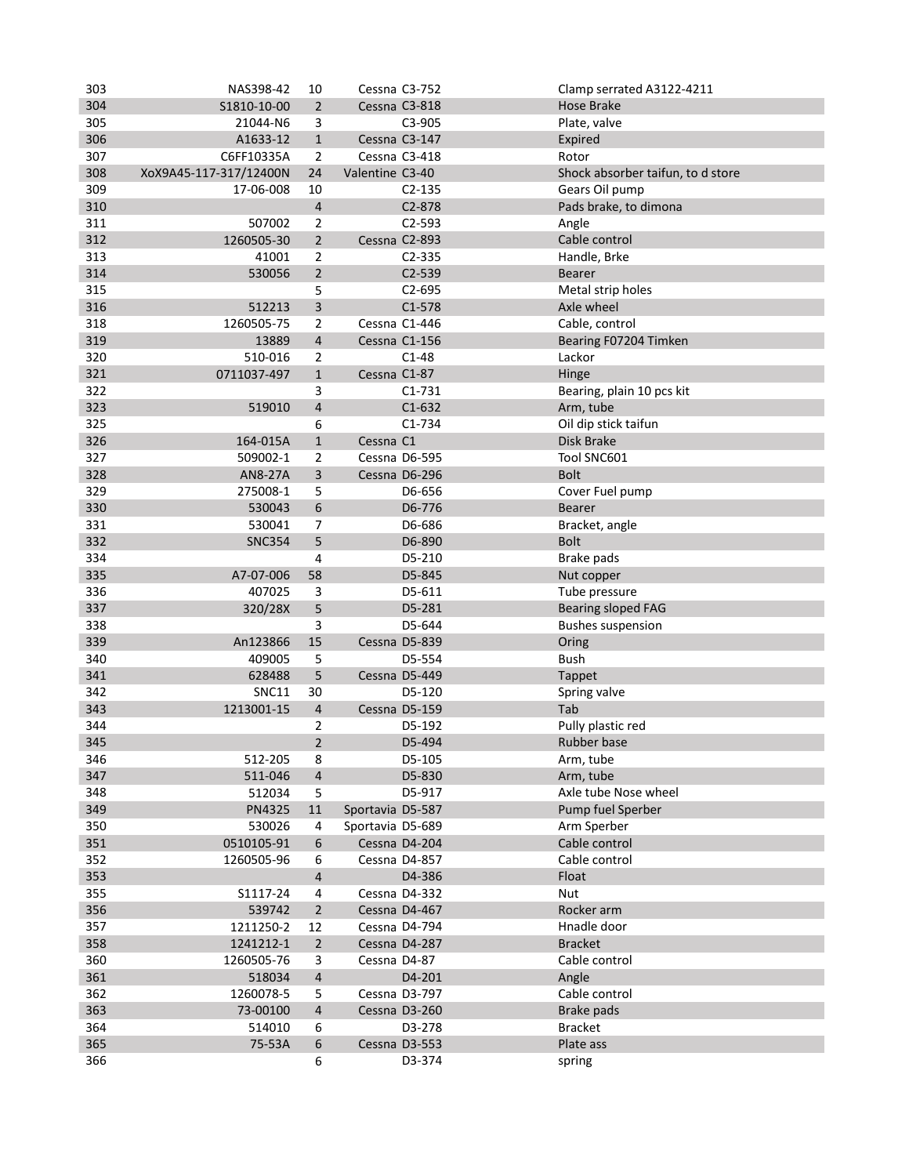| 303 | NAS398-42                  | 10                      | Cessna C3-752    |               | Clamp serrated A3122-4211         |
|-----|----------------------------|-------------------------|------------------|---------------|-----------------------------------|
| 304 | S1810-10-00                | $\overline{2}$          | Cessna C3-818    |               | Hose Brake                        |
| 305 | 21044-N6                   | 3                       |                  | C3-905        | Plate, valve                      |
| 306 | A1633-12                   | $\mathbf{1}$            | Cessna C3-147    |               | Expired                           |
| 307 | C6FF10335A                 | $\overline{2}$          | Cessna C3-418    |               | Rotor                             |
| 308 | XoX9A45-117-317/12400N     | 24                      | Valentine C3-40  |               | Shock absorber taifun, to d store |
| 309 | 17-06-008                  | 10                      |                  | $C2-135$      | Gears Oil pump                    |
| 310 |                            | $\overline{\mathbf{4}}$ |                  | C2-878        | Pads brake, to dimona             |
| 311 | 507002                     | $\overline{2}$          |                  | C2-593        | Angle                             |
| 312 | 1260505-30                 | $\overline{2}$          | Cessna C2-893    |               | Cable control                     |
| 313 | 41001                      | 2                       |                  | $C2 - 335$    | Handle, Brke                      |
| 314 | 530056                     | $\overline{2}$          |                  | C2-539        | <b>Bearer</b>                     |
| 315 |                            | 5                       |                  | $C2 - 695$    | Metal strip holes                 |
| 316 | 512213                     | 3                       |                  | $C1-578$      | Axle wheel                        |
| 318 | 1260505-75                 | 2                       | Cessna C1-446    |               | Cable, control                    |
| 319 | 13889                      | $\sqrt{4}$              | Cessna C1-156    |               | Bearing F07204 Timken             |
| 320 | 510-016                    | 2                       |                  | $C1-48$       | Lackor                            |
| 321 | 0711037-497                | $\mathbf{1}$            | Cessna C1-87     |               | Hinge                             |
| 322 |                            | 3                       |                  | $C1 - 731$    | Bearing, plain 10 pcs kit         |
| 323 | 519010                     | $\sqrt{4}$              |                  | $C1-632$      | Arm, tube                         |
| 325 |                            | 6                       |                  | $C1 - 734$    | Oil dip stick taifun              |
| 326 | 164-015A                   | $\mathbf{1}$            | Cessna C1        |               | Disk Brake                        |
| 327 |                            |                         | Cessna D6-595    |               | Tool SNC601                       |
| 328 | 509002-1<br><b>AN8-27A</b> | 2<br>3                  |                  | Cessna D6-296 | <b>Bolt</b>                       |
| 329 | 275008-1                   | 5                       |                  | D6-656        | Cover Fuel pump                   |
| 330 | 530043                     | $\boldsymbol{6}$        |                  | D6-776        | Bearer                            |
| 331 | 530041                     | $\overline{7}$          |                  | D6-686        |                                   |
| 332 | <b>SNC354</b>              | 5                       |                  | D6-890        | Bracket, angle<br><b>Bolt</b>     |
| 334 |                            | 4                       |                  | D5-210        | Brake pads                        |
| 335 | A7-07-006                  | 58                      |                  | D5-845        | Nut copper                        |
| 336 | 407025                     | 3                       |                  | D5-611        | Tube pressure                     |
| 337 | 320/28X                    | 5                       |                  | D5-281        | <b>Bearing sloped FAG</b>         |
| 338 |                            | 3                       |                  | D5-644        | <b>Bushes suspension</b>          |
| 339 | An123866                   | 15                      |                  | Cessna D5-839 | Oring                             |
| 340 | 409005                     | 5                       |                  | D5-554        | Bush                              |
| 341 | 628488                     | 5                       |                  | Cessna D5-449 | Tappet                            |
| 342 | <b>SNC11</b>               | 30                      |                  | D5-120        | Spring valve                      |
| 343 | 1213001-15                 | $\sqrt{4}$              |                  | Cessna D5-159 | Tab                               |
| 344 |                            | 2                       |                  | D5-192        | Pully plastic red                 |
| 345 |                            | 2                       |                  | D5-494        | Rubber base                       |
| 346 | 512-205                    | 8                       |                  | D5-105        | Arm, tube                         |
| 347 | 511-046                    | $\overline{4}$          |                  | D5-830        | Arm, tube                         |
| 348 | 512034                     | 5                       |                  | D5-917        | Axle tube Nose wheel              |
| 349 | PN4325                     | $11\,$                  | Sportavia D5-587 |               | Pump fuel Sperber                 |
| 350 | 530026                     | 4                       | Sportavia D5-689 |               | Arm Sperber                       |
| 351 | 0510105-91                 | 6                       |                  | Cessna D4-204 | Cable control                     |
| 352 | 1260505-96                 | 6                       |                  | Cessna D4-857 | Cable control                     |
| 353 |                            | $\sqrt{4}$              |                  | D4-386        | Float                             |
| 355 | S1117-24                   | 4                       |                  | Cessna D4-332 | Nut                               |
| 356 | 539742                     | $\overline{2}$          |                  | Cessna D4-467 | Rocker arm                        |
| 357 | 1211250-2                  | 12                      |                  | Cessna D4-794 | Hnadle door                       |
| 358 | 1241212-1                  | $\mathbf 2$             |                  | Cessna D4-287 | <b>Bracket</b>                    |
| 360 | 1260505-76                 | 3                       | Cessna D4-87     |               | Cable control                     |
| 361 | 518034                     | $\overline{4}$          |                  | D4-201        | Angle                             |
| 362 | 1260078-5                  | 5                       |                  | Cessna D3-797 | Cable control                     |
| 363 | 73-00100                   | $\overline{a}$          |                  | Cessna D3-260 | Brake pads                        |
| 364 | 514010                     | 6                       |                  | D3-278        | <b>Bracket</b>                    |
| 365 | 75-53A                     | 6                       |                  | Cessna D3-553 | Plate ass                         |
| 366 |                            | 6                       |                  | D3-374        | spring                            |